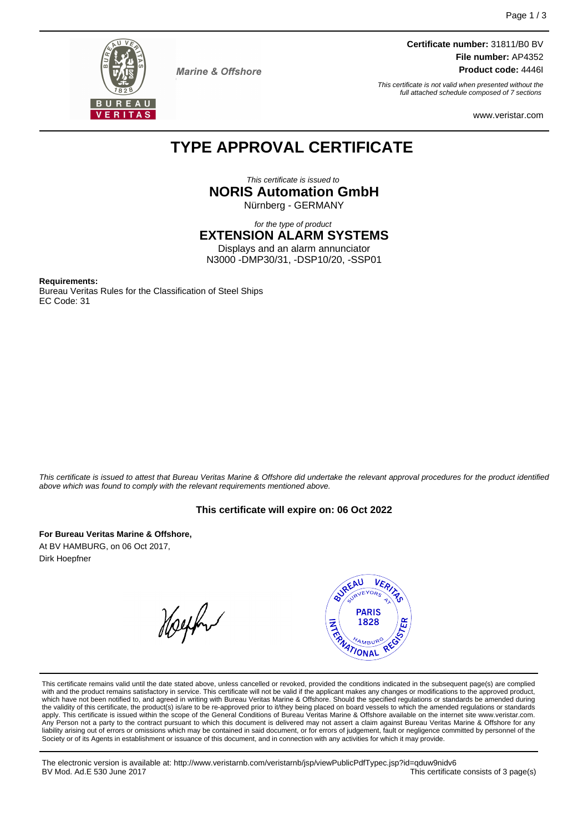

**Marine & Offshore** 

**Certificate number:** 31811/B0 BV **File number:** AP4352 **Product code:** 4446I

This certificate is not valid when presented without the full attached schedule composed of 7 sections

www.veristar.com

## **TYPE APPROVAL CERTIFICATE**

This certificate is issued to **NORIS Automation GmbH**

Nürnberg - GERMANY

for the type of product **EXTENSION ALARM SYSTEMS** Displays and an alarm annunciator N3000 -DMP30/31, -DSP10/20, -SSP01

**Requirements:**

Bureau Veritas Rules for the Classification of Steel Ships EC Code: 31

This certificate is issued to attest that Bureau Veritas Marine & Offshore did undertake the relevant approval procedures for the product identified above which was found to comply with the relevant requirements mentioned above.

### **This certificate will expire on: 06 Oct 2022**

**For Bureau Veritas Marine & Offshore,** At BV HAMBURG, on 06 Oct 2017, Dirk Hoepfner

Hosphi



This certificate remains valid until the date stated above, unless cancelled or revoked, provided the conditions indicated in the subsequent page(s) are complied with and the product remains satisfactory in service. This certificate will not be valid if the applicant makes any changes or modifications to the approved product, which have not been notified to, and agreed in writing with Bureau Veritas Marine & Offshore. Should the specified regulations or standards be amended during<br>the validity of this certificate, the product(s) is/are to be re apply. This certificate is issued within the scope of the General Conditions of Bureau Veritas Marine & Offshore available on the internet site www.veristar.com. Any Person not a party to the contract pursuant to which this document is delivered may not assert a claim against Bureau Veritas Marine & Offshore for any liability arising out of errors or omissions which may be contained in said document, or for errors of judgement, fault or negligence committed by personnel of the<br>Society or of its Agents in establishment or issuance of t

The electronic version is available at: http://www.veristarnb.com/veristarnb/jsp/viewPublicPdfTypec.jsp?id=qduw9nidv6 BV Mod. Ad.E 530 June 2017 **This certificate consists of 3 page(s)** This certificate consists of 3 page(s)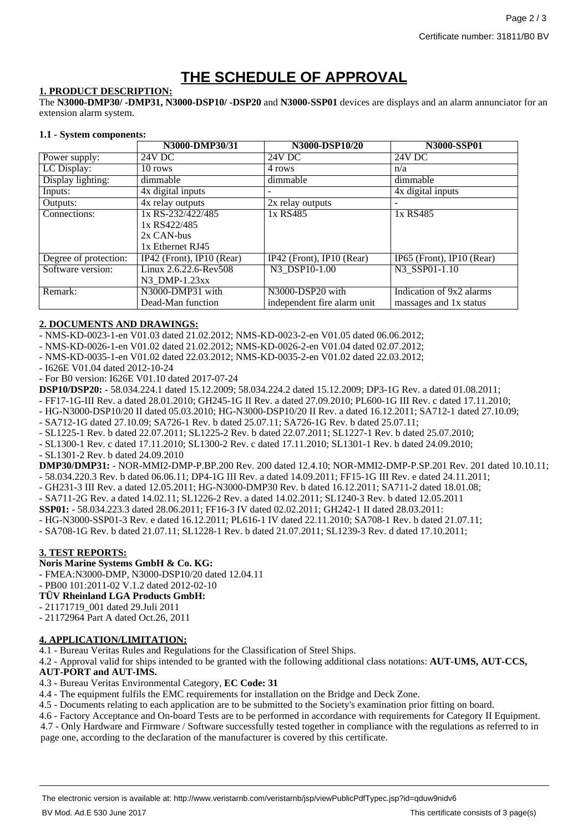# **THE SCHEDULE OF APPROVAL**

### **1. PRODUCT DESCRIPTION:**

The **N3000-DMP30/ -DMP31, N3000-DSP10/ -DSP20** and **N3000-SSP01** devices are displays and an alarm annunciator for an extension alarm system.

#### **1.1 - System components:**

|                       | N3000-DMP30/31                | N3000-DSP10/20                | N3000-SSP01               |
|-----------------------|-------------------------------|-------------------------------|---------------------------|
| Power supply:         | 24V DC                        | 24V DC                        | <b>24V DC</b>             |
| LC Display:           | 10 rows                       | 4 rows                        | n/a                       |
| Display lighting:     | dimmable                      | dimmable                      | dimmable                  |
| Inputs:               | 4x digital inputs             |                               | 4x digital inputs         |
| Outputs:              | 4x relay outputs              | 2x relay outputs              |                           |
| Connections:          | 1x RS-232/422/485             | 1x RS485                      | 1x RS485                  |
|                       | 1x RS422/485                  |                               |                           |
|                       | $2x$ CAN-bus                  |                               |                           |
|                       | 1x Ethernet RJ45              |                               |                           |
| Degree of protection: | $IP42$ (Front), $IP10$ (Rear) | $IP42$ (Front), $IP10$ (Rear) | IP65 (Front), IP10 (Rear) |
| Software version:     | Linux 2.6.22.6-Rev508         | N3 DSP10-1.00                 | N3 SSP01-1.10             |
|                       | N3 DMP-1.23xx                 |                               |                           |
| Remark:               | N3000-DMP31 with              | N3000-DSP20 with              | Indication of 9x2 alarms  |
|                       | Dead-Man function             | independent fire alarm unit   | massages and 1x status    |

#### **2. DOCUMENTS AND DRAWINGS:**

- NMS-KD-0023-1-en V01.03 dated 21.02.2012; NMS-KD-0023-2-en V01.05 dated 06.06.2012;

- NMS-KD-0026-1-en V01.02 dated 21.02.2012; NMS-KD-0026-2-en V01.04 dated 02.07.2012;
- NMS-KD-0035-1-en V01.02 dated 22.03.2012; NMS-KD-0035-2-en V01.02 dated 22.03.2012;
- I626E V01.04 dated 2012-10-24

- For B0 version: I626E V01.10 dated 2017-07-24

**DSP10/DSP20:** - 58.034.224.1 dated 15.12.2009; 58.034.224.2 dated 15.12.2009; DP3-1G Rev. a dated 01.08.2011;

- FF17-1G-III Rev. a dated 28.01.2010; GH245-1G II Rev. a dated 27.09.2010; PL600-1G III Rev. c dated 17.11.2010;

- HG-N3000-DSP10/20 II dated 05.03.2010; HG-N3000-DSP10/20 II Rev. a dated 16.12.2011; SA712-1 dated 27.10.09;

- SA712-1G dated 27.10.09; SA726-1 Rev. b dated 25.07.11; SA726-1G Rev. b dated 25.07.11;

- SL1225-1 Rev. b dated 22.07.2011; SL1225-2 Rev. b dated 22.07.2011; SL1227-1 Rev. b dated 25.07.2010;

- SL1300-1 Rev. c dated 17.11.2010; SL1300-2 Rev. c dated 17.11.2010; SL1301-1 Rev. b dated 24.09.2010;

- SL1301-2 Rev. b dated 24.09.2010

**DMP30/DMP31:** - NOR-MMI2-DMP-P.BP.200 Rev. 200 dated 12.4.10; NOR-MMI2-DMP-P.SP.201 Rev. 201 dated 10.10.11; - 58.034.220.3 Rev. b dated 06.06.11; DP4-1G III Rev. a dated 14.09.2011; FF15-1G III Rev. e dated 24.11.2011;

- GH231-3 III Rev. a dated 12.05.2011; HG-N3000-DMP30 Rev. b dated 16.12.2011; SA711-2 dated 18.01.08;
- SA711-2G Rev. a dated 14.02.11; SL1226-2 Rev. a dated 14.02.2011; SL1240-3 Rev. b dated 12.05.2011

**SSP01:** - 58.034.223.3 dated 28.06.2011; FF16-3 IV dated 02.02.2011; GH242-1 II dated 28.03.2011:

- HG-N3000-SSP01-3 Rev. e dated 16.12.2011; PL616-1 IV dated 22.11.2010; SA708-1 Rev. b dated 21.07.11;
- SA708-1G Rev. b dated 21.07.11; SL1228-1 Rev. b dated 21.07.2011; SL1239-3 Rev. d dated 17.10.2011;

## **3. TEST REPORTS:**

## **Noris Marine Systems GmbH & Co. KG:**

- FMEA:N3000-DMP, N3000-DSP10/20 dated 12.04.11

- PB00 101:2011-02 V.1.2 dated 2012-02-10

**TÜV Rheinland LGA Products GmbH:**

- 21171719\_001 dated 29.Juli 2011

- 21172964 Part A dated Oct.26, 2011

## **4. APPLICATION/LIMITATION:**

4.1 - Bureau Veritas Rules and Regulations for the Classification of Steel Ships.

4.2 - Approval valid for ships intended to be granted with the following additional class notations: **AUT-UMS, AUT-CCS, AUT-PORT and AUT-IMS.**

4.3 **-** Bureau Veritas Environmental Category, **EC Code: 31**

4.4 - The equipment fulfils the EMC requirements for installation on the Bridge and Deck Zone.

4.5 - Documents relating to each application are to be submitted to the Society's examination prior fitting on board.

4.6 - Factory Acceptance and On-board Tests are to be performed in accordance with requirements for Category II Equipment.

4.7 - Only Hardware and Firmware / Software successfully tested together in compliance with the regulations as referred to in page one, according to the declaration of the manufacturer is covered by this certificate.